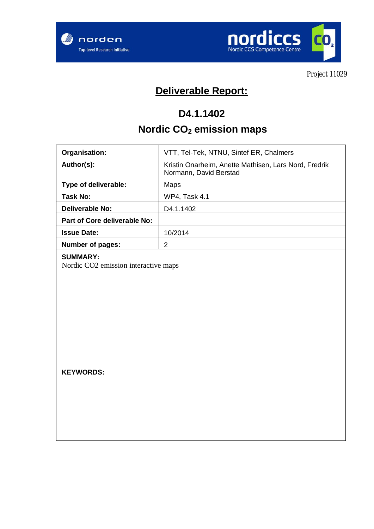



Project 11029

# **Deliverable Report:**

## **D4.1.1402**

# **Nordic CO2 emission maps**

| Organisation:                | VTT, Tel-Tek, NTNU, Sintef ER, Chalmers                                         |  |
|------------------------------|---------------------------------------------------------------------------------|--|
| Author(s):                   | Kristin Onarheim, Anette Mathisen, Lars Nord, Fredrik<br>Normann, David Berstad |  |
| Type of deliverable:         | Maps                                                                            |  |
| Task No:                     | <b>WP4, Task 4.1</b>                                                            |  |
| Deliverable No:              | D <sub>4</sub> .1.1402                                                          |  |
| Part of Core deliverable No: |                                                                                 |  |
| <b>Issue Date:</b>           | 10/2014                                                                         |  |
| Number of pages:             | 2                                                                               |  |

#### **SUMMARY:**

Nordic CO2 emission interactive maps

**KEYWORDS:**